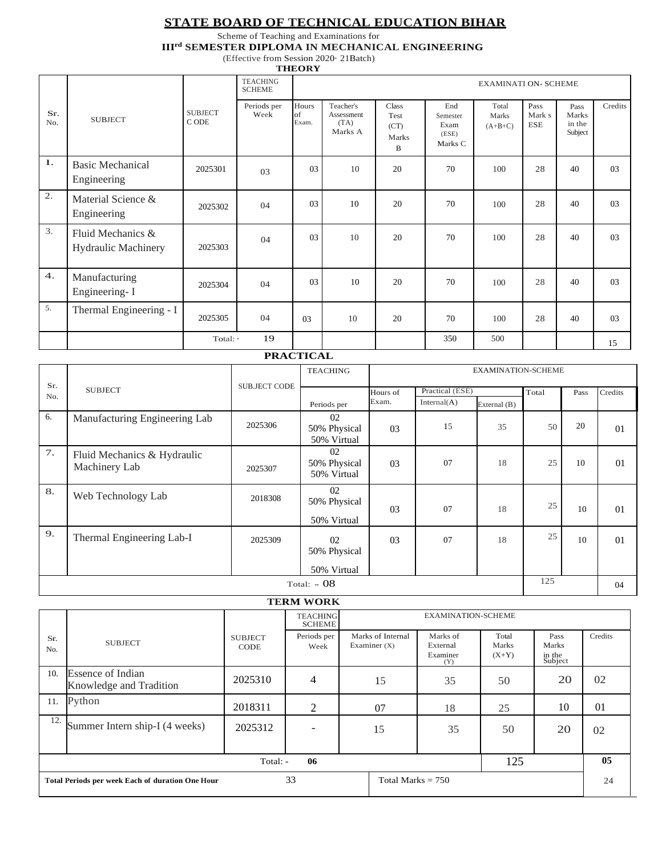#### **STATE BOARD OF TECHNICAL EDUCATION BIHAR**

#### Scheme of Teaching and Examinations for **IIIrd SEMESTER DIPLOMA IN MECHANICAL ENGINEERING**

(Effective from Session 2020· 21Batch)

|            |                                                 |                         |                                  | <b>THEORY</b>               |                                            |                                     |                                             |                             |                              |                                    |         |
|------------|-------------------------------------------------|-------------------------|----------------------------------|-----------------------------|--------------------------------------------|-------------------------------------|---------------------------------------------|-----------------------------|------------------------------|------------------------------------|---------|
|            |                                                 |                         | <b>TEACHING</b><br><b>SCHEME</b> | <b>EXAMINATI ON- SCHEME</b> |                                            |                                     |                                             |                             |                              |                                    |         |
| Sr.<br>No. | <b>SUBJECT</b>                                  | <b>SUBJECT</b><br>C ODE | Periods per<br>Week              | Hours<br>of<br>Exam.        | Teacher's<br>Assessment<br>(TA)<br>Marks A | Class<br>Test<br>(CT)<br>Marks<br>B | End<br>Semester<br>Exam<br>(ESE)<br>Marks C | Total<br>Marks<br>$(A+B+C)$ | Pass<br>Mark s<br><b>ESE</b> | Pass<br>Marks<br>in the<br>Subject | Credits |
| 1.         | <b>Basic Mechanical</b><br>Engineering          | 2025301                 | 03                               | 03                          | 10                                         | 20                                  | 70                                          | 100                         | 28                           | 40                                 | 03      |
| 2.         | Material Science &<br>Engineering               | 2025302                 | 04                               | 03                          | 10                                         | 20                                  | 70                                          | 100                         | 28                           | 40                                 | 03      |
| 3.         | Fluid Mechanics &<br><b>Hydraulic Machinery</b> | 2025303                 | 04                               | 03                          | 10                                         | 20                                  | 70                                          | 100                         | 28                           | 40                                 | 03      |
| 4.         | Manufacturing<br>Engineering-I                  | 2025304                 | 04                               | 03                          | 10                                         | 20                                  | 70                                          | 100                         | 28                           | 40                                 | 03      |
| 5.         | Thermal Engineering - I                         | 2025305                 | 04                               | 03                          | 10                                         | 20                                  | 70                                          | 100                         | 28                           | 40                                 | 03      |
|            |                                                 | Total: -                | 19                               |                             |                                            |                                     | 350                                         | 500                         |                              |                                    | 15      |

#### **PRACTICAL**

|                       |                                              |               | <b>TEACHING</b>                   |          |                 | <b>EXAMINATION-SCHEME</b> |       |      |                |
|-----------------------|----------------------------------------------|---------------|-----------------------------------|----------|-----------------|---------------------------|-------|------|----------------|
| Sr.<br><b>SUBJECT</b> |                                              | SUB.JECT CODE |                                   | Hours of | Practical (ESE) |                           | Total | Pass | Credits        |
| No.                   |                                              |               | Periods per                       | Exam.    | Internal(A)     | External (B)              |       |      |                |
| 6.                    | Manufacturing Engineering Lab                | 2025306       | 02<br>50% Physical<br>50% Virtual | 03       | 15              | 35                        | 50    | 20   | 01             |
| 7.                    | Fluid Mechanics & Hydraulic<br>Machinery Lab | 2025307       | 02<br>50% Physical<br>50% Virtual | 03       | 07              | 18                        | 25    | 10   | 0 <sub>1</sub> |
| 8.                    | Web Technology Lab                           | 2018308       | 02<br>50% Physical<br>50% Virtual | 03       | 07              | 18                        | 25    | 10   | 01             |
| 9.                    | Thermal Engineering Lab-I                    | 2025309       | 02<br>50% Physical                | 03       | 07              | 18                        | 25    | 10   | 01             |
|                       |                                              |               | 50% Virtual                       |          |                 |                           |       |      |                |
|                       |                                              |               | Total: $-08$                      |          |                 |                           | 125   |      | 04             |

## **TERM WORK**

|                       | <b>TEACHING</b><br><b>SCHEME</b>                        |                               |                     | <b>EXAMINATION-SCHEME</b>           |                                         |                           |                                    |         |
|-----------------------|---------------------------------------------------------|-------------------------------|---------------------|-------------------------------------|-----------------------------------------|---------------------------|------------------------------------|---------|
| Sr.<br>No.            | <b>SUBJECT</b>                                          | <b>SUBJECT</b><br><b>CODE</b> | Periods per<br>Week | Marks of Internal<br>Examiner $(X)$ | Marks of<br>External<br>Examiner<br>(Y) | Total<br>Marks<br>$(X+Y)$ | Pass<br>Marks<br>in the<br>Subject | Credits |
| 10.                   | <b>Essence of Indian</b><br>Knowledge and Tradition     | 2025310                       | $\overline{4}$      | 15                                  | 35                                      | 50                        | 20                                 | 02      |
|                       | 11. Python                                              | 2018311                       | 2                   | 07                                  | 18                                      | 25                        | 10                                 | 01      |
| 12.                   | Summer Intern ship-I (4 weeks)                          | 2025312                       |                     | 15                                  | 35                                      | 50                        | 20                                 | 02      |
| 125<br>06<br>Total: - |                                                         |                               |                     |                                     |                                         |                           |                                    |         |
|                       | <b>Total Periods per week Each of duration One Hour</b> | 33                            |                     | Total Marks $= 750$                 |                                         |                           | 24                                 |         |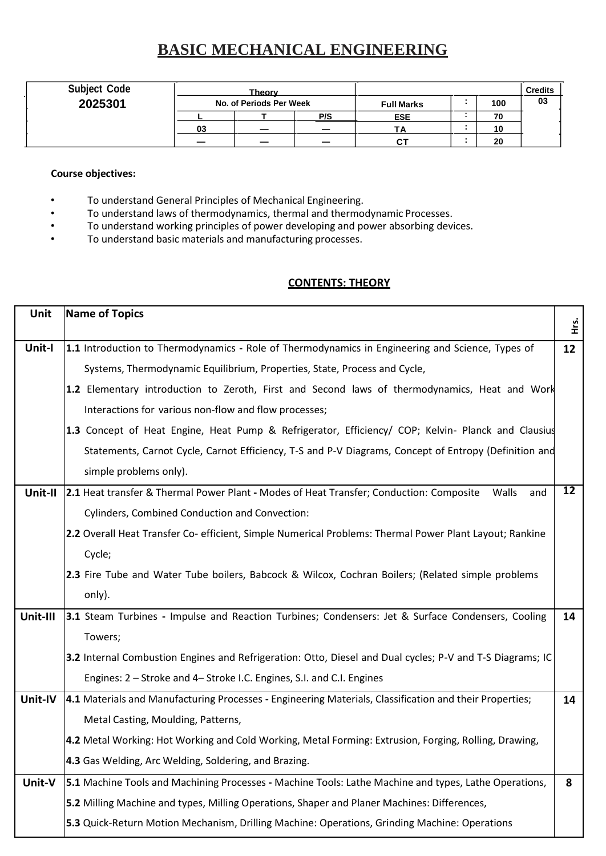## **BASIC MECHANICAL ENGINEERING**

| <b>Subject Code</b> |    | <b>Theory</b>           |                          |                   |     | <b>Credits</b> |
|---------------------|----|-------------------------|--------------------------|-------------------|-----|----------------|
| 2025301             |    | No. of Periods Per Week |                          | <b>Full Marks</b> | 100 | 03             |
|                     |    |                         | P/S                      | <b>ESE</b>        | 70  |                |
|                     | 03 |                         | $\overline{\phantom{0}}$ | TA                | 10  |                |
|                     | -  | _                       | -                        | СT                | 20  |                |

#### **Course objectives:**

- To understand General Principles of Mechanical Engineering.
- To understand laws of thermodynamics, thermal and thermodynamic Processes.
- To understand working principles of power developing and power absorbing devices.
- To understand basic materials and manufacturing processes.

### **CONTENTS: THEORY**

| Unit     | <b>Name of Topics</b>                                                                                     |                 |
|----------|-----------------------------------------------------------------------------------------------------------|-----------------|
|          |                                                                                                           | ξĹ              |
| Unit-I   | 1.1 Introduction to Thermodynamics - Role of Thermodynamics in Engineering and Science, Types of          | 12              |
|          | Systems, Thermodynamic Equilibrium, Properties, State, Process and Cycle,                                 |                 |
|          | 1.2 Elementary introduction to Zeroth, First and Second laws of thermodynamics, Heat and Work             |                 |
|          | Interactions for various non-flow and flow processes;                                                     |                 |
|          | 1.3 Concept of Heat Engine, Heat Pump & Refrigerator, Efficiency/ COP; Kelvin- Planck and Clausius        |                 |
|          | Statements, Carnot Cycle, Carnot Efficiency, T-S and P-V Diagrams, Concept of Entropy (Definition and     |                 |
|          | simple problems only).                                                                                    |                 |
| Unit-II  | 2.1 Heat transfer & Thermal Power Plant - Modes of Heat Transfer; Conduction: Composite<br>Walls<br>and   | $\overline{12}$ |
|          | Cylinders, Combined Conduction and Convection:                                                            |                 |
|          | 2.2 Overall Heat Transfer Co- efficient, Simple Numerical Problems: Thermal Power Plant Layout; Rankine   |                 |
|          | Cycle;                                                                                                    |                 |
|          | 2.3 Fire Tube and Water Tube boilers, Babcock & Wilcox, Cochran Boilers; (Related simple problems         |                 |
|          | only).                                                                                                    |                 |
| Unit-III | 3.1 Steam Turbines - Impulse and Reaction Turbines; Condensers: Jet & Surface Condensers, Cooling         | 14              |
|          | Towers;                                                                                                   |                 |
|          | 3.2 Internal Combustion Engines and Refrigeration: Otto, Diesel and Dual cycles; P-V and T-S Diagrams; IC |                 |
|          | Engines: 2 - Stroke and 4 - Stroke I.C. Engines, S.I. and C.I. Engines                                    |                 |
| Unit-IV  | 4.1 Materials and Manufacturing Processes - Engineering Materials, Classification and their Properties;   | 14              |
|          | Metal Casting, Moulding, Patterns,                                                                        |                 |
|          | 4.2 Metal Working: Hot Working and Cold Working, Metal Forming: Extrusion, Forging, Rolling, Drawing,     |                 |
|          | 4.3 Gas Welding, Arc Welding, Soldering, and Brazing.                                                     |                 |
| Unit-V   | 5.1 Machine Tools and Machining Processes - Machine Tools: Lathe Machine and types, Lathe Operations,     | 8               |
|          | 5.2 Milling Machine and types, Milling Operations, Shaper and Planer Machines: Differences,               |                 |
|          | 5.3 Quick-Return Motion Mechanism, Drilling Machine: Operations, Grinding Machine: Operations             |                 |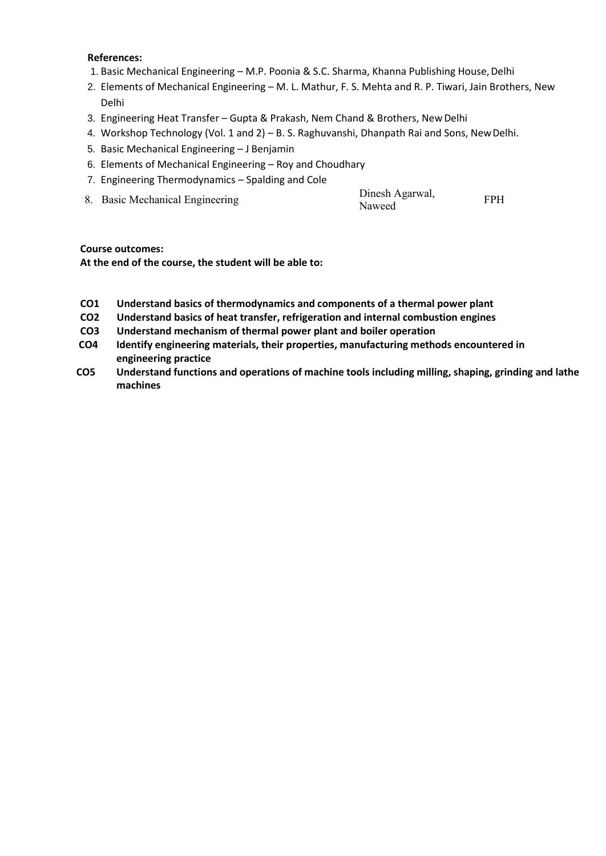#### **References:**

- 1. Basic Mechanical Engineering M.P. Poonia & S.C. Sharma, Khanna Publishing House, Delhi
- 2. Elements of Mechanical Engineering M. L. Mathur, F. S. Mehta and R. P. Tiwari, Jain Brothers, New Delhi
- 3. Engineering Heat Transfer Gupta & Prakash, Nem Chand & Brothers, NewDelhi
- 4. Workshop Technology (Vol. 1 and 2) B. S. Raghuvanshi, Dhanpath Rai and Sons, NewDelhi.
- 5. Basic Mechanical Engineering J Benjamin
- 6. Elements of Mechanical Engineering Roy and Choudhary
- 7. Engineering Thermodynamics Spalding and Cole
- 8. Basic Mechanical Engineering

| Dinesh Agarwal, | <b>FPH</b> |
|-----------------|------------|
| Naweed          |            |

#### **Course outcomes:**

- **CO1 Understand basics of thermodynamics and components of a thermal power plant**
- **CO2 Understand basics of heat transfer, refrigeration and internal combustion engines**
- **CO3 Understand mechanism of thermal power plant and boiler operation**
- **CO4 Identify engineering materials, their properties, manufacturing methods encountered in engineering practice**
- **CO5 Understand functions and operations of machine tools including milling, shaping, grinding and lathe machines**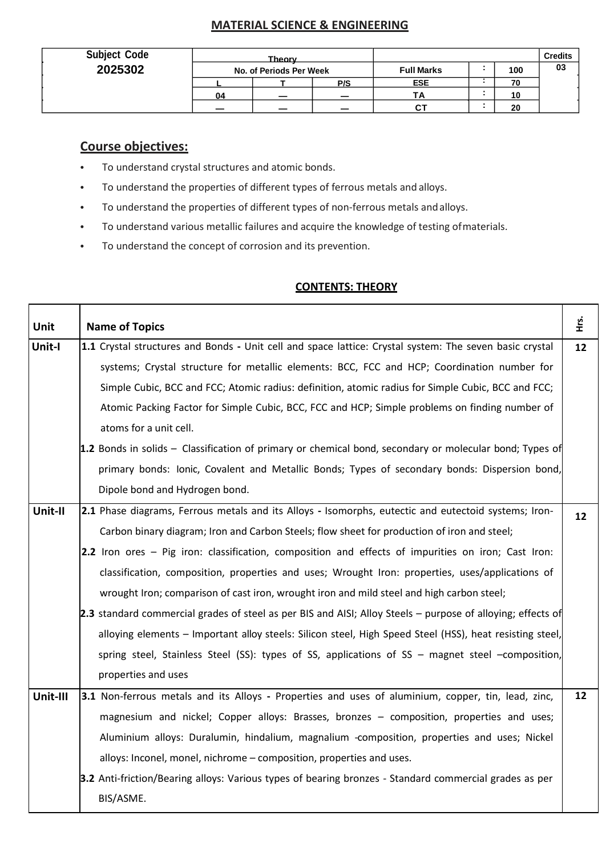## **MATERIAL SCIENCE & ENGINEERING**

| <b>Subject Code</b> |    | Theory                   |                          |                   |     | <b>Credits</b> |
|---------------------|----|--------------------------|--------------------------|-------------------|-----|----------------|
| 2025302             |    | No. of Periods Per Week  |                          | <b>Full Marks</b> | 100 | 03             |
|                     |    |                          | P/S                      | <b>ESE</b>        | 70  |                |
|                     | 04 | $\overline{\phantom{0}}$ | $\overline{\phantom{0}}$ | ТΔ                | 10  |                |
|                     |    |                          | $\overline{\phantom{0}}$ | u                 | 20  |                |

## **Course objectives:**

г

Т

- To understand crystal structures and atomic bonds.
- To understand the properties of different types of ferrous metals and alloys.
- To understand the properties of different types of non-ferrous metals andalloys.
- To understand various metallic failures and acquire the knowledge of testing ofmaterials.
- To understand the concept of corrosion and its prevention.

## **CONTENTS: THEORY**

т

| <b>Unit</b> | <b>Name of Topics</b>                                                                                       | Ϋ́<br>Η |
|-------------|-------------------------------------------------------------------------------------------------------------|---------|
| Unit-I      | 1.1 Crystal structures and Bonds - Unit cell and space lattice: Crystal system: The seven basic crystal     | 12      |
|             | systems; Crystal structure for metallic elements: BCC, FCC and HCP; Coordination number for                 |         |
|             | Simple Cubic, BCC and FCC; Atomic radius: definition, atomic radius for Simple Cubic, BCC and FCC;          |         |
|             | Atomic Packing Factor for Simple Cubic, BCC, FCC and HCP; Simple problems on finding number of              |         |
|             | atoms for a unit cell.                                                                                      |         |
|             | 1.2 Bonds in solids - Classification of primary or chemical bond, secondary or molecular bond; Types of     |         |
|             | primary bonds: Ionic, Covalent and Metallic Bonds; Types of secondary bonds: Dispersion bond,               |         |
|             | Dipole bond and Hydrogen bond.                                                                              |         |
| Unit-II     | 2.1 Phase diagrams, Ferrous metals and its Alloys - Isomorphs, eutectic and eutectoid systems; Iron-        | 12      |
|             | Carbon binary diagram; Iron and Carbon Steels; flow sheet for production of iron and steel;                 |         |
|             | 2.2 Iron ores – Pig iron: classification, composition and effects of impurities on iron; Cast Iron:         |         |
|             | classification, composition, properties and uses; Wrought Iron: properties, uses/applications of            |         |
|             | wrought Iron; comparison of cast iron, wrought iron and mild steel and high carbon steel;                   |         |
|             | 2.3 standard commercial grades of steel as per BIS and AISI; Alloy Steels - purpose of alloying; effects of |         |
|             | alloying elements - Important alloy steels: Silicon steel, High Speed Steel (HSS), heat resisting steel,    |         |
|             | spring steel, Stainless Steel (SS): types of SS, applications of SS - magnet steel -composition,            |         |
|             | properties and uses                                                                                         |         |
| Unit-III    | 3.1 Non-ferrous metals and its Alloys - Properties and uses of aluminium, copper, tin, lead, zinc,          | 12      |
|             | magnesium and nickel; Copper alloys: Brasses, bronzes - composition, properties and uses;                   |         |
|             | Aluminium alloys: Duralumin, hindalium, magnalium -composition, properties and uses; Nickel                 |         |
|             | alloys: Inconel, monel, nichrome - composition, properties and uses.                                        |         |
|             | 3.2 Anti-friction/Bearing alloys: Various types of bearing bronzes - Standard commercial grades as per      |         |
|             | BIS/ASME.                                                                                                   |         |
|             |                                                                                                             |         |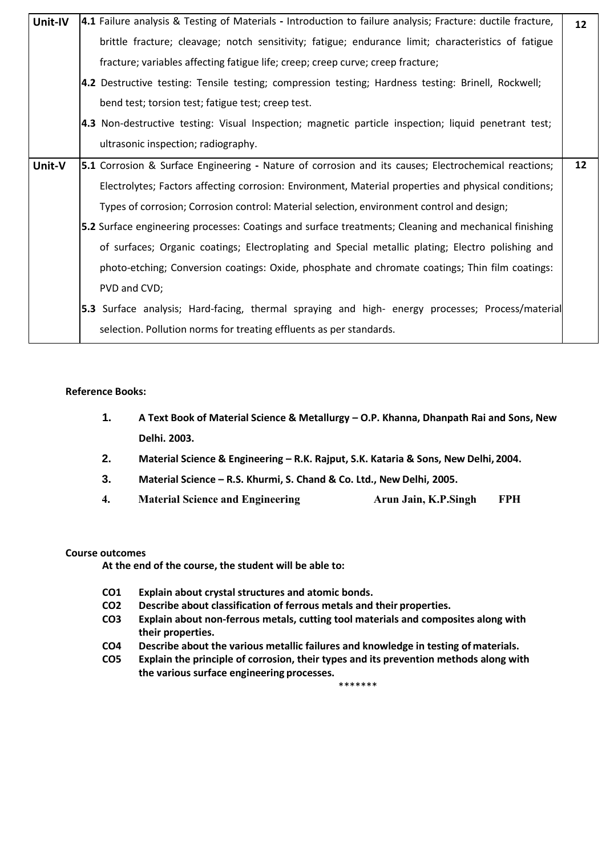| Unit-IV | 4.1 Failure analysis & Testing of Materials - Introduction to failure analysis; Fracture: ductile fracture, | $12 \overline{ }$ |
|---------|-------------------------------------------------------------------------------------------------------------|-------------------|
|         | brittle fracture; cleavage; notch sensitivity; fatigue; endurance limit; characteristics of fatigue         |                   |
|         | fracture; variables affecting fatigue life; creep; creep curve; creep fracture;                             |                   |
|         | 4.2 Destructive testing: Tensile testing; compression testing; Hardness testing: Brinell, Rockwell;         |                   |
|         | bend test; torsion test; fatigue test; creep test.                                                          |                   |
|         | 4.3 Non-destructive testing: Visual Inspection; magnetic particle inspection; liquid penetrant test;        |                   |
|         | ultrasonic inspection; radiography.                                                                         |                   |
| Unit-V  | <b>5.1</b> Corrosion & Surface Engineering - Nature of corrosion and its causes; Electrochemical reactions; | 12                |
|         | Electrolytes; Factors affecting corrosion: Environment, Material properties and physical conditions;        |                   |
|         | Types of corrosion; Corrosion control: Material selection, environment control and design;                  |                   |
|         | 5.2 Surface engineering processes: Coatings and surface treatments; Cleaning and mechanical finishing       |                   |
|         | of surfaces; Organic coatings; Electroplating and Special metallic plating; Electro polishing and           |                   |
|         | photo-etching; Conversion coatings: Oxide, phosphate and chromate coatings; Thin film coatings:             |                   |
|         | PVD and CVD;                                                                                                |                   |
|         | <b>5.3</b> Surface analysis; Hard-facing, thermal spraying and high- energy processes; Process/material     |                   |
|         | selection. Pollution norms for treating effluents as per standards.                                         |                   |

- **1. A Text Book of Material Science & Metallurgy – O.P. Khanna, Dhanpath Rai and Sons, New Delhi. 2003.**
- **2. Material Science & Engineering – R.K. Rajput, S.K. Kataria & Sons, New Delhi, 2004.**
- **3. Material Science – R.S. Khurmi, S. Chand & Co. Ltd., New Delhi, 2005.**
- **4. Material Science and Engineering Arun Jain, K.P.Singh FPH**

#### **Course outcomes**

- **CO1 Explain about crystal structures and atomic bonds.**
- **CO2 Describe about classification of ferrous metals and their properties.**
- **CO3 Explain about non-ferrous metals, cutting tool materials and composites along with their properties.**
- **CO4 Describe about the various metallic failures and knowledge in testing of materials.**
- **CO5 Explain the principle of corrosion, their types and its prevention methods along with the various surface engineering processes.** \*\*\*\*\*\*\*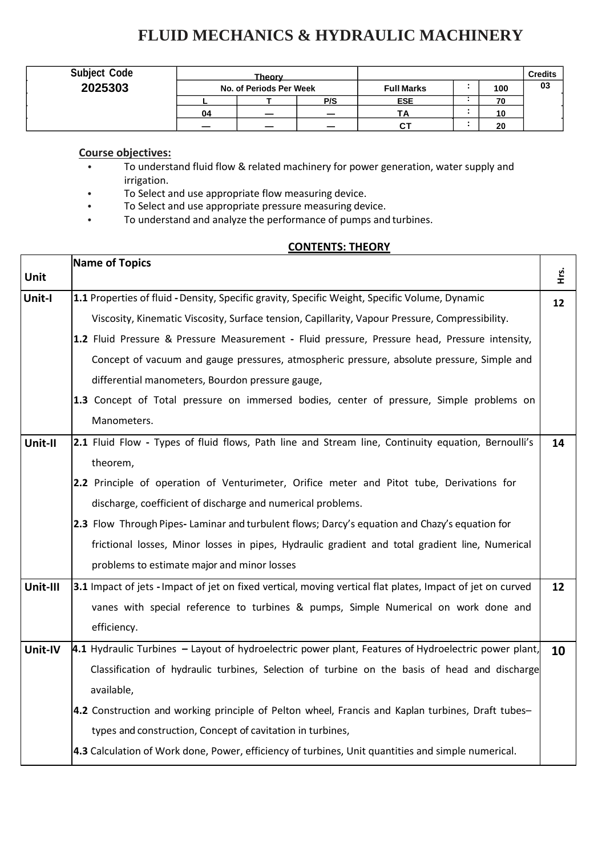## **FLUID MECHANICS & HYDRAULIC MACHINERY**

| <b>Subject Code</b> |    | <b>Theory</b>           |     |                   |     | <b>Credits</b> |
|---------------------|----|-------------------------|-----|-------------------|-----|----------------|
| 2025303             |    | No. of Periods Per Week |     | <b>Full Marks</b> | 100 | 03             |
|                     |    |                         | P/S | <b>ESE</b>        | 70  |                |
|                     | 04 |                         |     |                   | 10  |                |
|                     |    | ___                     |     |                   | 20  |                |

## **Course objectives:**

- To understand fluid flow & related machinery for power generation, water supply and irrigation.
- To Select and use appropriate flow measuring device.
- To Select and use appropriate pressure measuring device.
- To understand and analyze the performance of pumps and turbines.

### **CONTENTS: THEORY**

┯

 $\overline{\phantom{a}}$ 

|          | <b>Name of Topics</b>                                                                                      |         |
|----------|------------------------------------------------------------------------------------------------------------|---------|
| Unit     |                                                                                                            | ξ.<br>Ε |
| Unit-I   | 1.1 Properties of fluid - Density, Specific gravity, Specific Weight, Specific Volume, Dynamic             | 12      |
|          | Viscosity, Kinematic Viscosity, Surface tension, Capillarity, Vapour Pressure, Compressibility.            |         |
|          | 1.2 Fluid Pressure & Pressure Measurement - Fluid pressure, Pressure head, Pressure intensity,             |         |
|          | Concept of vacuum and gauge pressures, atmospheric pressure, absolute pressure, Simple and                 |         |
|          | differential manometers, Bourdon pressure gauge,                                                           |         |
|          | 1.3 Concept of Total pressure on immersed bodies, center of pressure, Simple problems on                   |         |
|          | Manometers.                                                                                                |         |
| Unit-II  | 2.1 Fluid Flow - Types of fluid flows, Path line and Stream line, Continuity equation, Bernoulli's         | 14      |
|          | theorem,                                                                                                   |         |
|          | 2.2 Principle of operation of Venturimeter, Orifice meter and Pitot tube, Derivations for                  |         |
|          | discharge, coefficient of discharge and numerical problems.                                                |         |
|          | 2.3 Flow Through Pipes-Laminar and turbulent flows; Darcy's equation and Chazy's equation for              |         |
|          | frictional losses, Minor losses in pipes, Hydraulic gradient and total gradient line, Numerical            |         |
|          | problems to estimate major and minor losses                                                                |         |
| Unit-III | 3.1 Impact of jets - Impact of jet on fixed vertical, moving vertical flat plates, Impact of jet on curved | 12      |
|          | vanes with special reference to turbines & pumps, Simple Numerical on work done and                        |         |
|          | efficiency.                                                                                                |         |
| Unit-IV  | 4.1 Hydraulic Turbines $-$ Layout of hydroelectric power plant, Features of Hydroelectric power plant,     | 10      |
|          | Classification of hydraulic turbines, Selection of turbine on the basis of head and discharge              |         |
|          | available,                                                                                                 |         |
|          | 4.2 Construction and working principle of Pelton wheel, Francis and Kaplan turbines, Draft tubes-          |         |
|          | types and construction, Concept of cavitation in turbines,                                                 |         |
|          | 4.3 Calculation of Work done, Power, efficiency of turbines, Unit quantities and simple numerical.         |         |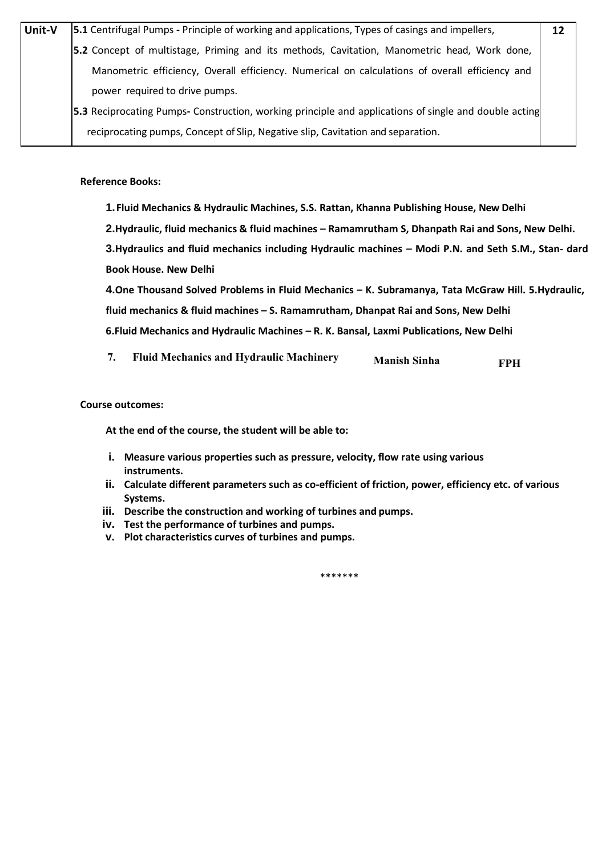| Unit-V | <b>5.1</b> Centrifugal Pumps - Principle of working and applications, Types of casings and impellers, | 12 |
|--------|-------------------------------------------------------------------------------------------------------|----|
|        | 5.2 Concept of multistage, Priming and its methods, Cavitation, Manometric head, Work done,           |    |
|        | Manometric efficiency, Overall efficiency. Numerical on calculations of overall efficiency and        |    |
|        | power required to drive pumps.                                                                        |    |
|        | 5.3 Reciprocating Pumps- Construction, working principle and applications of single and double acting |    |
|        | reciprocating pumps, Concept of Slip, Negative slip, Cavitation and separation.                       |    |

- **1.Fluid Mechanics & Hydraulic Machines, S.S. Rattan, Khanna Publishing House, New Delhi**
- **2.Hydraulic, fluid mechanics & fluid machines – Ramamrutham S, Dhanpath Rai and Sons, New Delhi.**

**3.Hydraulics and fluid mechanics including Hydraulic machines – Modi P.N. and Seth S.M., Stan- dard Book House. New Delhi**

**4.One Thousand Solved Problems in Fluid Mechanics – K. Subramanya, Tata McGraw Hill. 5.Hydraulic, fluid mechanics & fluid machines – S. Ramamrutham, Dhanpat Rai and Sons, New Delhi 6.Fluid Mechanics and Hydraulic Machines – R. K. Bansal, Laxmi Publications, New Delhi**

 **7. Fluid Mechanics and Hydraulic Machinery Manish Sinha FPH**

 **Course outcomes:**

**At the end of the course, the student will be able to:**

- **i. Measure various properties such as pressure, velocity, flow rate using various instruments.**
- **ii. Calculate different parameters such as co-efficient of friction, power, efficiency etc. of various Systems.**
- **iii. Describe the construction and working of turbines and pumps.**
- **iv. Test the performance of turbines and pumps.**
- **v. Plot characteristics curves of turbines and pumps.**

\*\*\*\*\*\*\*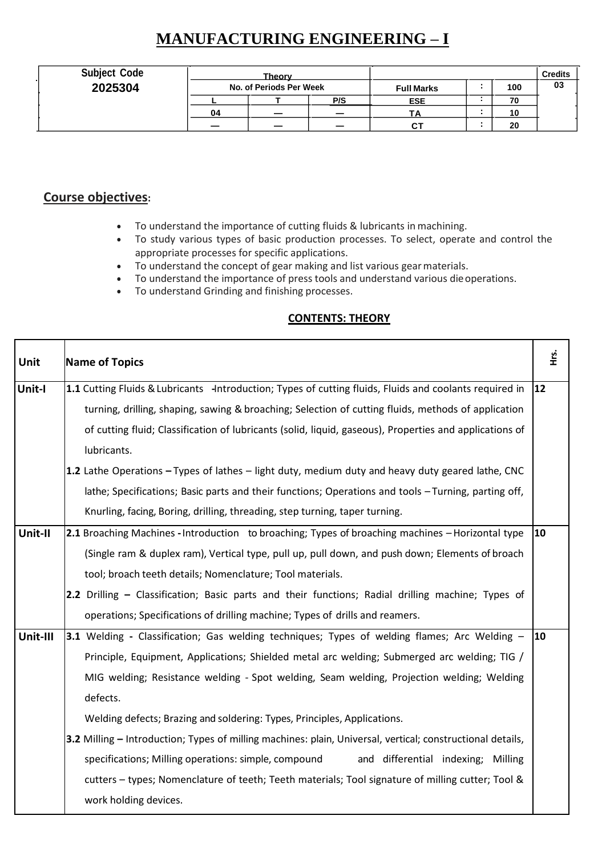# **MANUFACTURING ENGINEERING – I**

| <b>Subject Code</b> | <b>Theory</b> |                         |        |                   | <b>Credits</b> |    |
|---------------------|---------------|-------------------------|--------|-------------------|----------------|----|
| 2025304             |               | No. of Periods Per Week |        | <b>Full Marks</b> | 100            | 03 |
|                     |               |                         | P/S    | <b>ESE</b>        | 70             |    |
|                     | 04            | _                       |        | ΤA                | 10             |    |
|                     |               | _                       | $\sim$ | $C^{\intercal}$   | 20             |    |

## **Course objectives:**

- To understand the importance of cutting fluids & lubricants in machining.
- To study various types of basic production processes. To select, operate and control the appropriate processes for specific applications.
- To understand the concept of gear making and list various gearmaterials.
- To understand the importance of press tools and understand various dieoperations.
- To understand Grinding and finishing processes.

## **CONTENTS: THEORY**

| Unit     | <b>Name of Topics</b>                                                                                      | е.<br>Е      |  |  |  |  |  |  |
|----------|------------------------------------------------------------------------------------------------------------|--------------|--|--|--|--|--|--|
| Unit-I   | 1.1 Cutting Fluids & Lubricants -Introduction; Types of cutting fluids, Fluids and coolants required in    | $ 12\rangle$ |  |  |  |  |  |  |
|          | turning, drilling, shaping, sawing & broaching; Selection of cutting fluids, methods of application        |              |  |  |  |  |  |  |
|          | of cutting fluid; Classification of lubricants (solid, liquid, gaseous), Properties and applications of    |              |  |  |  |  |  |  |
|          | lubricants.                                                                                                |              |  |  |  |  |  |  |
|          | 1.2 Lathe Operations $-T$ ypes of lathes $-$ light duty, medium duty and heavy duty geared lathe, CNC      |              |  |  |  |  |  |  |
|          | lathe; Specifications; Basic parts and their functions; Operations and tools - Turning, parting off,       |              |  |  |  |  |  |  |
|          | Knurling, facing, Boring, drilling, threading, step turning, taper turning.                                |              |  |  |  |  |  |  |
| Unit-II  | <b>2.1</b> Broaching Machines - Introduction to broaching; Types of broaching machines – Horizontal type   | <b>10</b>    |  |  |  |  |  |  |
|          | (Single ram & duplex ram), Vertical type, pull up, pull down, and push down; Elements of broach            |              |  |  |  |  |  |  |
|          | tool; broach teeth details; Nomenclature; Tool materials.                                                  |              |  |  |  |  |  |  |
|          | 2.2 Drilling - Classification; Basic parts and their functions; Radial drilling machine; Types of          |              |  |  |  |  |  |  |
|          | operations; Specifications of drilling machine; Types of drills and reamers.                               |              |  |  |  |  |  |  |
| Unit-III | 3.1 Welding - Classification; Gas welding techniques; Types of welding flames; Arc Welding -               | $ 10\rangle$ |  |  |  |  |  |  |
|          | Principle, Equipment, Applications; Shielded metal arc welding; Submerged arc welding; TIG /               |              |  |  |  |  |  |  |
|          | MIG welding; Resistance welding - Spot welding, Seam welding, Projection welding; Welding                  |              |  |  |  |  |  |  |
|          | defects.                                                                                                   |              |  |  |  |  |  |  |
|          | Welding defects; Brazing and soldering: Types, Principles, Applications.                                   |              |  |  |  |  |  |  |
|          | 3.2 Milling – Introduction; Types of milling machines: plain, Universal, vertical; constructional details, |              |  |  |  |  |  |  |
|          | specifications; Milling operations: simple, compound<br>and differential indexing; Milling                 |              |  |  |  |  |  |  |
|          | cutters - types; Nomenclature of teeth; Teeth materials; Tool signature of milling cutter; Tool &          |              |  |  |  |  |  |  |
|          | work holding devices.                                                                                      |              |  |  |  |  |  |  |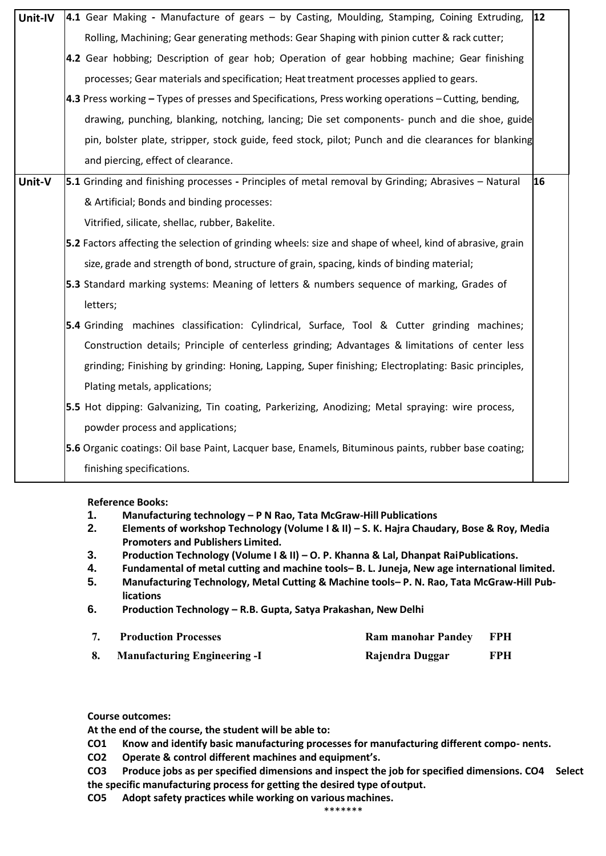| Unit-IV | 4.1 Gear Making - Manufacture of gears - by Casting, Moulding, Stamping, Coining Extruding,              | 12 |
|---------|----------------------------------------------------------------------------------------------------------|----|
|         | Rolling, Machining; Gear generating methods: Gear Shaping with pinion cutter & rack cutter;              |    |
|         |                                                                                                          |    |
|         | 4.2 Gear hobbing; Description of gear hob; Operation of gear hobbing machine; Gear finishing             |    |
|         | processes; Gear materials and specification; Heat treatment processes applied to gears.                  |    |
|         | 4.3 Press working - Types of presses and Specifications, Press working operations - Cutting, bending,    |    |
|         | drawing, punching, blanking, notching, lancing; Die set components- punch and die shoe, guide            |    |
|         | pin, bolster plate, stripper, stock guide, feed stock, pilot; Punch and die clearances for blanking      |    |
|         | and piercing, effect of clearance.                                                                       |    |
| Unit-V  | 5.1 Grinding and finishing processes - Principles of metal removal by Grinding; Abrasives - Natural      | 16 |
|         | & Artificial; Bonds and binding processes:                                                               |    |
|         | Vitrified, silicate, shellac, rubber, Bakelite.                                                          |    |
|         | 5.2 Factors affecting the selection of grinding wheels: size and shape of wheel, kind of abrasive, grain |    |
|         | size, grade and strength of bond, structure of grain, spacing, kinds of binding material;                |    |
|         | 5.3 Standard marking systems: Meaning of letters & numbers sequence of marking, Grades of                |    |
|         | letters;                                                                                                 |    |
|         | 5.4 Grinding machines classification: Cylindrical, Surface, Tool & Cutter grinding machines;             |    |
|         | Construction details; Principle of centerless grinding; Advantages & limitations of center less          |    |
|         | grinding; Finishing by grinding: Honing, Lapping, Super finishing; Electroplating: Basic principles,     |    |
|         | Plating metals, applications;                                                                            |    |
|         | 5.5 Hot dipping: Galvanizing, Tin coating, Parkerizing, Anodizing; Metal spraying: wire process,         |    |
|         | powder process and applications;                                                                         |    |
|         | 5.6 Organic coatings: Oil base Paint, Lacquer base, Enamels, Bituminous paints, rubber base coating;     |    |
|         | finishing specifications.                                                                                |    |

- **1. Manufacturing technology – P N Rao, Tata McGraw-Hill Publications**
- **2. Elements of workshop Technology (Volume I & II) – S. K. Hajra Chaudary, Bose & Roy, Media Promoters and Publishers Limited.**
- **3. Production Technology (Volume I & II) – O. P. Khanna & Lal, Dhanpat RaiPublications.**
- **4. Fundamental of metal cutting and machine tools– B. L. Juneja, New age international limited.**
- **5. Manufacturing Technology, Metal Cutting & Machine tools– P. N. Rao, Tata McGraw-Hill Publications**
- **6. Production Technology – R.B. Gupta, Satya Prakashan, New Delhi**

| <b>Production Processes</b>         | <b>Ram manohar Pandey</b> | - FPH      |
|-------------------------------------|---------------------------|------------|
| <b>Manufacturing Engineering -I</b> | Rajendra Duggar           | <b>FPH</b> |

**Course outcomes:**

**At the end of the course, the student will be able to:**

- **CO1 Know and identify basic manufacturing processes for manufacturing different compo- nents.**
- **CO2 Operate & control different machines and equipment's.**
- **CO3 Produce jobs as per specified dimensions and inspect the job for specified dimensions. CO4 Select the specific manufacturing process for getting the desired type ofoutput.**

**CO5 Adopt safety practices while working on various machines.** \*\*\*\*\*\*\*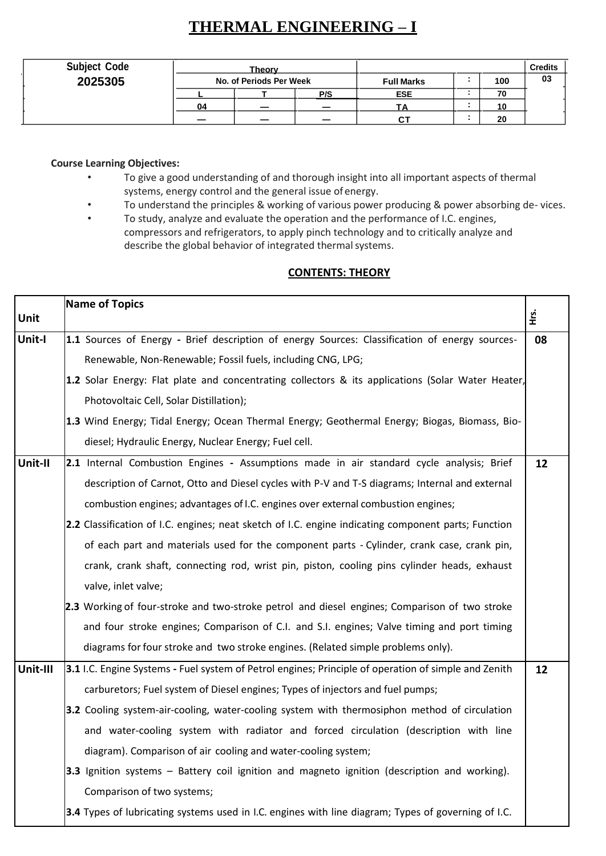# **THERMAL ENGINEERING – I**

| <b>Subject Code</b> | Theory                  |  |     |                   | <b>Credits</b> |    |
|---------------------|-------------------------|--|-----|-------------------|----------------|----|
| 2025305             | No. of Periods Per Week |  |     | <b>Full Marks</b> | 100            | 03 |
|                     |                         |  | P/S | <b>ESE</b>        | 70             |    |
|                     | 04                      |  |     | ΤA                | 10             |    |
|                     |                         |  | -   | .C                | 20             |    |

#### **Course Learning Objectives:**

- To give a good understanding of and thorough insight into all important aspects of thermal systems, energy control and the general issue ofenergy.
- To understand the principles & working of various power producing & power absorbing de- vices.
- To study, analyze and evaluate the operation and the performance of I.C. engines, compressors and refrigerators, to apply pinch technology and to critically analyze and describe the global behavior of integrated thermal systems.

## **CONTENTS: THEORY**

|          | <b>Name of Topics</b> |                                                                                                      |          |  |  |  |  |
|----------|-----------------------|------------------------------------------------------------------------------------------------------|----------|--|--|--|--|
| Unit     |                       |                                                                                                      | Ηr.<br>Η |  |  |  |  |
| Unit-I   |                       | 1.1 Sources of Energy - Brief description of energy Sources: Classification of energy sources-       | 08       |  |  |  |  |
|          |                       | Renewable, Non-Renewable; Fossil fuels, including CNG, LPG;                                          |          |  |  |  |  |
|          |                       | 1.2 Solar Energy: Flat plate and concentrating collectors & its applications (Solar Water Heater,    |          |  |  |  |  |
|          |                       | Photovoltaic Cell, Solar Distillation);                                                              |          |  |  |  |  |
|          |                       | 1.3 Wind Energy; Tidal Energy; Ocean Thermal Energy; Geothermal Energy; Biogas, Biomass, Bio-        |          |  |  |  |  |
|          |                       | diesel; Hydraulic Energy, Nuclear Energy; Fuel cell.                                                 |          |  |  |  |  |
| Unit-II  |                       | 2.1 Internal Combustion Engines - Assumptions made in air standard cycle analysis; Brief             | 12       |  |  |  |  |
|          |                       | description of Carnot, Otto and Diesel cycles with P-V and T-S diagrams; Internal and external       |          |  |  |  |  |
|          |                       | combustion engines; advantages of I.C. engines over external combustion engines;                     |          |  |  |  |  |
|          |                       | 2.2 Classification of I.C. engines; neat sketch of I.C. engine indicating component parts; Function  |          |  |  |  |  |
|          |                       | of each part and materials used for the component parts - Cylinder, crank case, crank pin,           |          |  |  |  |  |
|          |                       | crank, crank shaft, connecting rod, wrist pin, piston, cooling pins cylinder heads, exhaust          |          |  |  |  |  |
|          |                       | valve, inlet valve;                                                                                  |          |  |  |  |  |
|          |                       | 2.3 Working of four-stroke and two-stroke petrol and diesel engines; Comparison of two stroke        |          |  |  |  |  |
|          |                       | and four stroke engines; Comparison of C.I. and S.I. engines; Valve timing and port timing           |          |  |  |  |  |
|          |                       | diagrams for four stroke and two stroke engines. (Related simple problems only).                     |          |  |  |  |  |
| Unit-III |                       | 3.1 I.C. Engine Systems - Fuel system of Petrol engines; Principle of operation of simple and Zenith | 12       |  |  |  |  |
|          |                       | carburetors; Fuel system of Diesel engines; Types of injectors and fuel pumps;                       |          |  |  |  |  |
|          |                       | 3.2 Cooling system-air-cooling, water-cooling system with thermosiphon method of circulation         |          |  |  |  |  |
|          |                       | and water-cooling system with radiator and forced circulation (description with line                 |          |  |  |  |  |
|          |                       | diagram). Comparison of air cooling and water-cooling system;                                        |          |  |  |  |  |
|          |                       | 3.3 Ignition systems – Battery coil ignition and magneto ignition (description and working).         |          |  |  |  |  |
|          |                       | Comparison of two systems;                                                                           |          |  |  |  |  |
|          |                       | 3.4 Types of lubricating systems used in I.C. engines with line diagram; Types of governing of I.C.  |          |  |  |  |  |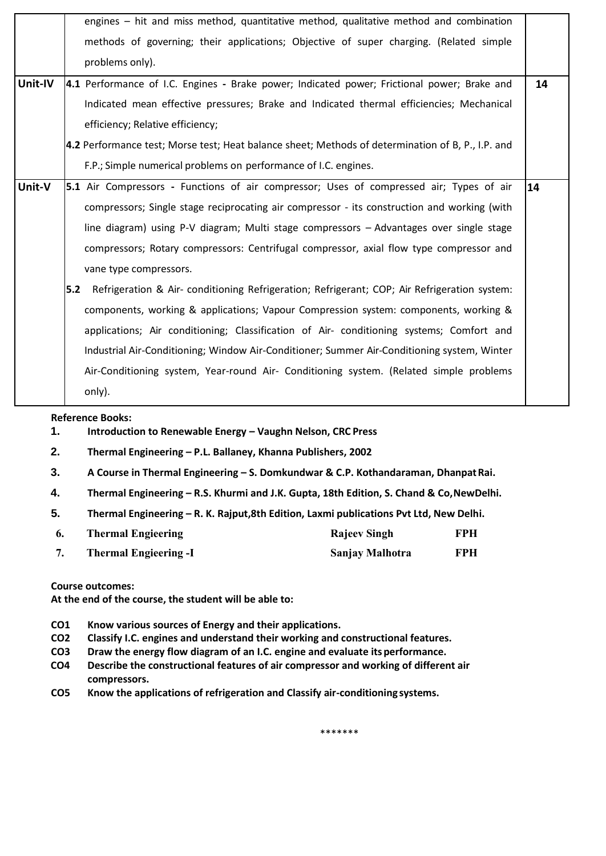|         |     | engines – hit and miss method, quantitative method, qualitative method and combination            |    |
|---------|-----|---------------------------------------------------------------------------------------------------|----|
|         |     | methods of governing; their applications; Objective of super charging. (Related simple            |    |
|         |     | problems only).                                                                                   |    |
| Unit-IV |     | 4.1 Performance of I.C. Engines - Brake power; Indicated power; Frictional power; Brake and       | 14 |
|         |     | Indicated mean effective pressures; Brake and Indicated thermal efficiencies; Mechanical          |    |
|         |     | efficiency; Relative efficiency;                                                                  |    |
|         |     | 4.2 Performance test; Morse test; Heat balance sheet; Methods of determination of B, P., I.P. and |    |
|         |     | F.P.; Simple numerical problems on performance of I.C. engines.                                   |    |
| Unit-V  |     | 5.1 Air Compressors - Functions of air compressor; Uses of compressed air; Types of air           | 14 |
|         |     | compressors; Single stage reciprocating air compressor - its construction and working (with       |    |
|         |     | line diagram) using P-V diagram; Multi stage compressors - Advantages over single stage           |    |
|         |     | compressors; Rotary compressors: Centrifugal compressor, axial flow type compressor and           |    |
|         |     | vane type compressors.                                                                            |    |
|         | 5.2 | Refrigeration & Air- conditioning Refrigeration; Refrigerant; COP; Air Refrigeration system:      |    |
|         |     | components, working & applications; Vapour Compression system: components, working &              |    |
|         |     | applications; Air conditioning; Classification of Air- conditioning systems; Comfort and          |    |
|         |     | Industrial Air-Conditioning; Window Air-Conditioner; Summer Air-Conditioning system, Winter       |    |
|         |     | Air-Conditioning system, Year-round Air- Conditioning system. (Related simple problems            |    |
|         |     | only).                                                                                            |    |

**1. Introduction to Renewable Energy – Vaughn Nelson, CRC Press**

**2. Thermal Engineering – P.L. Ballaney, Khanna Publishers, 2002**

- **3. A Course in Thermal Engineering – S. Domkundwar & C.P. Kothandaraman, DhanpatRai.**
- **4. Thermal Engineering – R.S. Khurmi and J.K. Gupta, 18th Edition, S. Chand & Co,NewDelhi.**
- **5. Thermal Engineering – R. K. Rajput,8th Edition, Laxmi publications Pvt Ltd, New Delhi.**

| -6. | <b>Thermal Engieering</b>    | <b>Rajeev Singh</b> | FPH |
|-----|------------------------------|---------------------|-----|
|     | <b>Thermal Engieering -I</b> | Sanjay Malhotra     | FPH |

**Course outcomes:**

**At the end of the course, the student will be able to:**

- **CO1 Know various sources of Energy and their applications.**
- **CO2 Classify I.C. engines and understand their working and constructional features.**
- **CO3 Draw the energy flow diagram of an I.C. engine and evaluate itsperformance.**
- **CO4 Describe the constructional features of air compressor and working of different air compressors.**
- **CO5 Know the applications of refrigeration and Classify air-conditioning systems.**

\*\*\*\*\*\*\*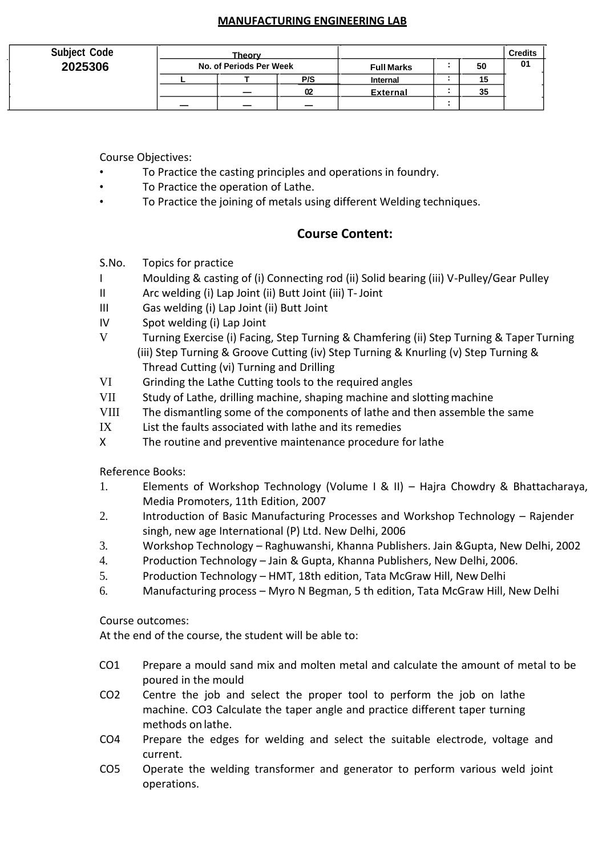## **MANUFACTURING ENGINEERING LAB**

| <b>Subject Code</b> | <b>Theory</b> |                         |                          |                 |  |    | <b>Credits</b> |
|---------------------|---------------|-------------------------|--------------------------|-----------------|--|----|----------------|
| 2025306             |               | No. of Periods Per Week |                          |                 |  | 50 | 01             |
|                     |               |                         | P/S                      | Internal        |  | 15 |                |
|                     |               |                         | 02                       | <b>External</b> |  | 35 |                |
|                     | _             |                         | $\overline{\phantom{0}}$ |                 |  |    |                |

Course Objectives:

- To Practice the casting principles and operations in foundry.
- To Practice the operation of Lathe.
- To Practice the joining of metals using different Welding techniques.

## **Course Content:**

- S.No. Topics for practice
- I Moulding & casting of (i) Connecting rod (ii) Solid bearing (iii) V-Pulley/Gear Pulley
- II Arc welding (i) Lap Joint (ii) Butt Joint (iii) T-Joint
- III Gas welding (i) Lap Joint (ii) Butt Joint
- IV Spot welding (i) Lap Joint
- V Turning Exercise (i) Facing, Step Turning & Chamfering (ii) Step Turning & Taper Turning (iii) Step Turning & Groove Cutting (iv) Step Turning & Knurling (v) Step Turning & Thread Cutting (vi) Turning and Drilling
- VI Grinding the Lathe Cutting tools to the required angles
- VII Study of Lathe, drilling machine, shaping machine and slotting machine
- VIII The dismantling some of the components of lathe and then assemble the same
- IX List the faults associated with lathe and its remedies
- X The routine and preventive maintenance procedure for lathe

Reference Books:

- 1. Elements of Workshop Technology (Volume I & II) Hajra Chowdry & Bhattacharaya, Media Promoters, 11th Edition, 2007
- 2. Introduction of Basic Manufacturing Processes and Workshop Technology Rajender singh, new age International (P) Ltd. New Delhi, 2006
- 3. Workshop Technology Raghuwanshi, Khanna Publishers. Jain &Gupta, New Delhi, 2002
- 4. Production Technology Jain & Gupta, Khanna Publishers, New Delhi, 2006.
- 5. Production Technology HMT, 18th edition, Tata McGraw Hill, New Delhi
- 6. Manufacturing process Myro N Begman, 5 th edition, Tata McGraw Hill, New Delhi

Course outcomes:

- CO1 Prepare a mould sand mix and molten metal and calculate the amount of metal to be poured in the mould
- CO2 Centre the job and select the proper tool to perform the job on lathe machine. CO3 Calculate the taper angle and practice different taper turning methods on lathe.
- CO4 Prepare the edges for welding and select the suitable electrode, voltage and current.
- CO5 Operate the welding transformer and generator to perform various weld joint operations.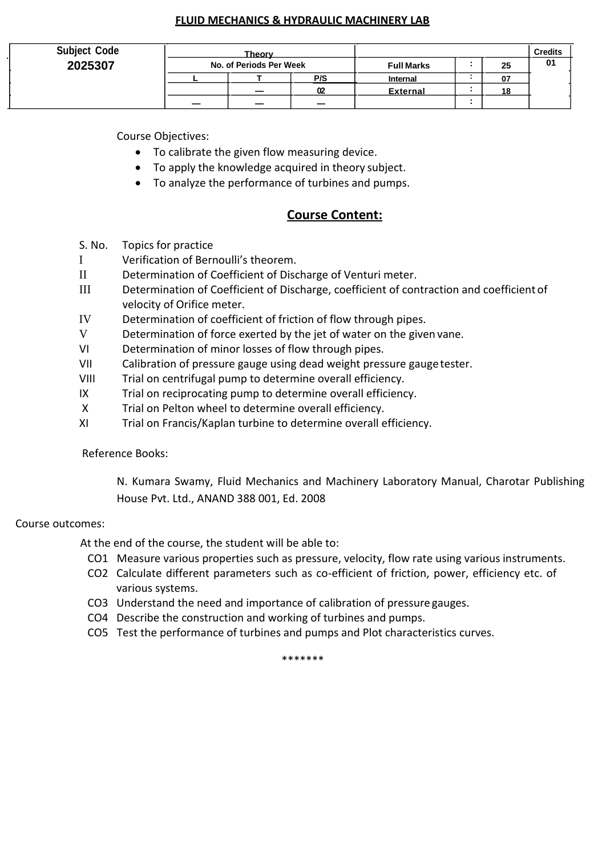#### **FLUID MECHANICS & HYDRAULIC MACHINERY LAB**

| <b>Subject Code</b> | Theory                  |                          |                   | <b>Credits</b> |    |
|---------------------|-------------------------|--------------------------|-------------------|----------------|----|
| 2025307             | No. of Periods Per Week |                          | <b>Full Marks</b> | 25             | 01 |
|                     |                         | P/S                      | Internal          | 07             |    |
|                     | _                       | 02                       | <b>External</b>   | 18             |    |
|                     | -                       | $\overline{\phantom{0}}$ |                   |                |    |

Course Objectives:

- To calibrate the given flow measuring device.
- To apply the knowledge acquired in theory subject.
- To analyze the performance of turbines and pumps.

## **Course Content:**

- S. No. Topics for practice
- I Verification of Bernoulli's theorem.
- II Determination of Coefficient of Discharge of Venturi meter.
- III Determination of Coefficient of Discharge, coefficient of contraction and coefficient of velocity of Orifice meter.
- IV Determination of coefficient of friction of flow through pipes.
- V Determination of force exerted by the jet of water on the given vane.
- VI Determination of minor losses of flow through pipes.
- VII Calibration of pressure gauge using dead weight pressure gaugetester.
- VIII Trial on centrifugal pump to determine overall efficiency.
- IX Trial on reciprocating pump to determine overall efficiency.
- X Trial on Pelton wheel to determine overall efficiency.
- XI Trial on Francis/Kaplan turbine to determine overall efficiency.

Reference Books:

N. Kumara Swamy, Fluid Mechanics and Machinery Laboratory Manual, Charotar Publishing House Pvt. Ltd., ANAND 388 001, Ed. 2008

### Course outcomes:

At the end of the course, the student will be able to:

- CO1 Measure various properties such as pressure, velocity, flow rate using various instruments.
- CO2 Calculate different parameters such as co-efficient of friction, power, efficiency etc. of various systems.
- CO3 Understand the need and importance of calibration of pressure gauges.
- CO4 Describe the construction and working of turbines and pumps.
- CO5 Test the performance of turbines and pumps and Plot characteristics curves.

\*\*\*\*\*\*\*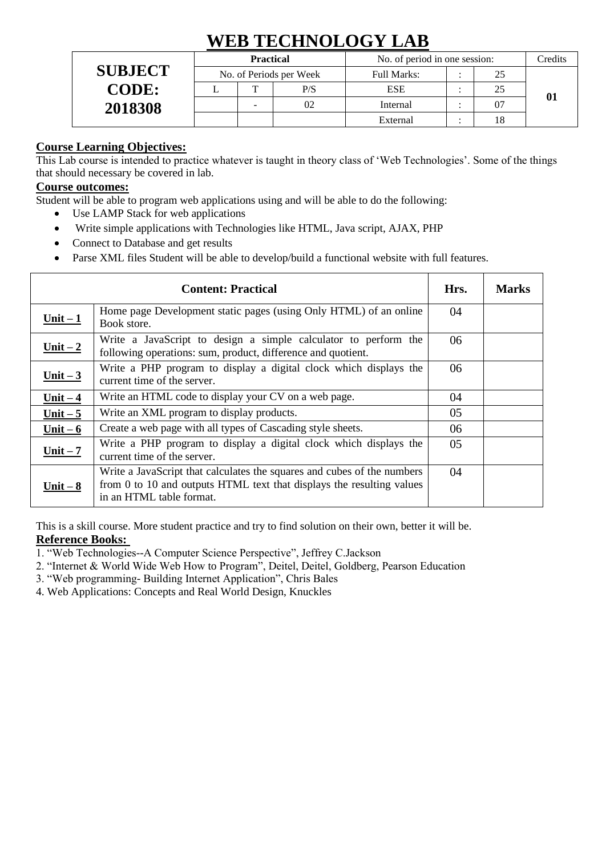# **WEB TECHNOLOGY LAB**

|                | <b>Practical</b>        |              |             | No. of period in one session: | Credits |  |
|----------------|-------------------------|--------------|-------------|-------------------------------|---------|--|
| <b>SUBJECT</b> | No. of Periods per Week |              | Full Marks: |                               |         |  |
| <b>CODE:</b>   |                         | $\mathbf{r}$ | P/S         | <b>ESE</b>                    | 25      |  |
| 2018308        |                         |              | 02          | Internal                      |         |  |
|                |                         |              |             | External                      | 18      |  |

## **Course Learning Objectives:**

This Lab course is intended to practice whatever is taught in theory class of 'Web Technologies'. Some of the things that should necessary be covered in lab.

## **Course outcomes:**

Student will be able to program web applications using and will be able to do the following:

- Use LAMP Stack for web applications
- Write simple applications with Technologies like HTML, Java script, AJAX, PHP
- Connect to Database and get results
- Parse XML files Student will be able to develop/build a functional website with full features.

|            | Hrs.                                                                                                                                                                         | <b>Marks</b> |  |
|------------|------------------------------------------------------------------------------------------------------------------------------------------------------------------------------|--------------|--|
| Unit $-1$  | Home page Development static pages (using Only HTML) of an online<br>Book store.                                                                                             | 04           |  |
| Unit $-2$  | Write a JavaScript to design a simple calculator to perform the<br>following operations: sum, product, difference and quotient.                                              | 06           |  |
| Unit $-3$  | Write a PHP program to display a digital clock which displays the<br>current time of the server.                                                                             | 06           |  |
| Unit $-4$  | Write an HTML code to display your CV on a web page.                                                                                                                         | 04           |  |
| Unit $-5$  | Write an XML program to display products.                                                                                                                                    | 05           |  |
| Unit $-6$  | Create a web page with all types of Cascading style sheets.                                                                                                                  | 06           |  |
| $Unit - 7$ | Write a PHP program to display a digital clock which displays the<br>current time of the server.                                                                             | 05           |  |
| Unit $-8$  | Write a JavaScript that calculates the squares and cubes of the numbers<br>from 0 to 10 and outputs HTML text that displays the resulting values<br>in an HTML table format. | 04           |  |

This is a skill course. More student practice and try to find solution on their own, better it will be.

## **Reference Books:**

- 1. "Web Technologies--A Computer Science Perspective", Jeffrey C.Jackson
- 2. "Internet & World Wide Web How to Program", Deitel, Deitel, Goldberg, Pearson Education
- 3. "Web programming- Building Internet Application", Chris Bales
- 4. Web Applications: Concepts and Real World Design, Knuckles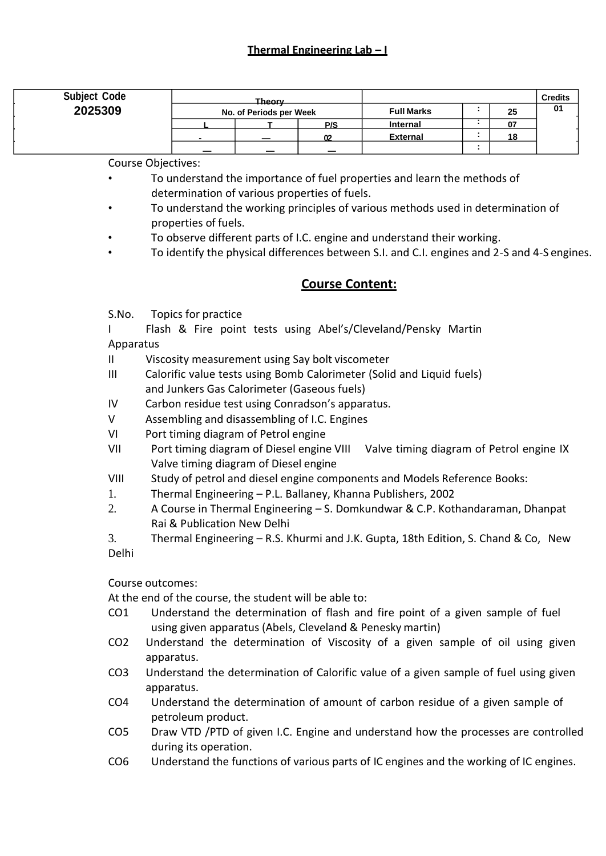| <b>Subject Code</b> | Theory.<br>No. of Periods per Week |  |     |                   |    |    | <b>Credits</b> |
|---------------------|------------------------------------|--|-----|-------------------|----|----|----------------|
| 2025309             |                                    |  |     | <b>Full Marks</b> | 25 |    | 01             |
|                     |                                    |  | P/S | Internal          |    | 07 |                |
|                     | $\blacksquare$                     |  |     | <b>External</b>   |    | 18 |                |
|                     |                                    |  |     |                   |    |    |                |

Course Objectives:

- To understand the importance of fuel properties and learn the methods of determination of various properties of fuels.
- To understand the working principles of various methods used in determination of properties of fuels.
- To observe different parts of I.C. engine and understand their working.
- To identify the physical differences between S.I. and C.I. engines and 2-S and 4-S engines.

## **Course Content:**

S.No. Topics for practice

I Flash & Fire point tests using Abel's/Cleveland/Pensky Martin Apparatus

- II Viscosity measurement using Say bolt viscometer
- III Calorific value tests using Bomb Calorimeter (Solid and Liquid fuels) and Junkers Gas Calorimeter (Gaseous fuels)
- IV Carbon residue test using Conradson's apparatus.
- V Assembling and disassembling of I.C. Engines
- VI Port timing diagram of Petrol engine
- VII Port timing diagram of Diesel engine VIII Valve timing diagram of Petrol engine IX Valve timing diagram of Diesel engine
- VIII Study of petrol and diesel engine components and Models Reference Books:
- 1. Thermal Engineering P.L. Ballaney, Khanna Publishers, 2002
- 2. A Course in Thermal Engineering S. Domkundwar & C.P. Kothandaraman, Dhanpat Rai & Publication New Delhi
- 3. Thermal Engineering R.S. Khurmi and J.K. Gupta, 18th Edition, S. Chand & Co, New Delhi

Course outcomes:

- CO1 Understand the determination of flash and fire point of a given sample of fuel using given apparatus (Abels, Cleveland & Penesky martin)
- CO2 Understand the determination of Viscosity of a given sample of oil using given apparatus.
- CO3 Understand the determination of Calorific value of a given sample of fuel using given apparatus.
- CO4 Understand the determination of amount of carbon residue of a given sample of petroleum product.
- CO5 Draw VTD /PTD of given I.C. Engine and understand how the processes are controlled during its operation.
- CO6 Understand the functions of various parts of IC engines and the working of IC engines.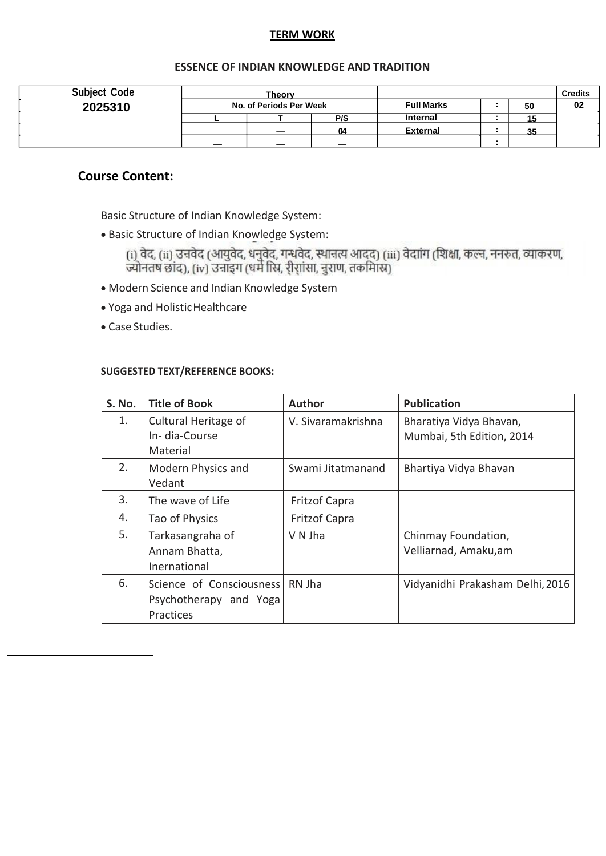## **TERM WORK**

## **ESSENCE OF INDIAN KNOWLEDGE AND TRADITION**

| <b>Subject Code</b> | Theorv<br>No. of Periods Per Week |                          |                          |                   |  |    | <b>Credits</b> |
|---------------------|-----------------------------------|--------------------------|--------------------------|-------------------|--|----|----------------|
| 2025310             |                                   |                          |                          | <b>Full Marks</b> |  | 50 | 02             |
|                     |                                   |                          | P/S                      | <b>Internal</b>   |  |    |                |
|                     |                                   | -                        | 04                       | <b>External</b>   |  | 35 |                |
|                     |                                   | $\overline{\phantom{a}}$ | $\overline{\phantom{0}}$ |                   |  |    |                |

## **Course Content:**

Basic Structure of Indian Knowledge System:

• Basic Structure of Indian Knowledge System:

(i) वेद, (ii) उन्नवेद (आयुवेद, धनुवेद, गन्धवेद, स्थानत्य आदद) (iii) वेदाांग (शिक्षा, कल्न, ननरुत, व्याकरण,<br>ज्योनतष छांद), (iv) उनाइग (धर्म स्त्रि, री्रांसा, नुराण, तकमािस्र)

- Modern Science and Indian Knowledge System
- Yoga and HolisticHealthcare
- Case Studies.

### **SUGGESTED TEXT/REFERENCE BOOKS:**

| S. No. | <b>Title of Book</b>                                            | <b>Author</b>        | <b>Publication</b>                                   |
|--------|-----------------------------------------------------------------|----------------------|------------------------------------------------------|
| 1.     | Cultural Heritage of<br>In-dia-Course<br>Material               | V. Sivaramakrishna   | Bharatiya Vidya Bhavan,<br>Mumbai, 5th Edition, 2014 |
| 2.     | Modern Physics and<br>Vedant                                    | Swami Jitatmanand    | Bhartiya Vidya Bhavan                                |
| 3.     | The wave of Life                                                | <b>Fritzof Capra</b> |                                                      |
| 4.     | Tao of Physics                                                  | Fritzof Capra        |                                                      |
| 5.     | Tarkasangraha of<br>Annam Bhatta,<br>Inernational               | V N Jha              | Chinmay Foundation,<br>Velliarnad, Amaku, am         |
| 6.     | Science of Consciousness<br>Psychotherapy and Yoga<br>Practices | RN Jha               | Vidyanidhi Prakasham Delhi, 2016                     |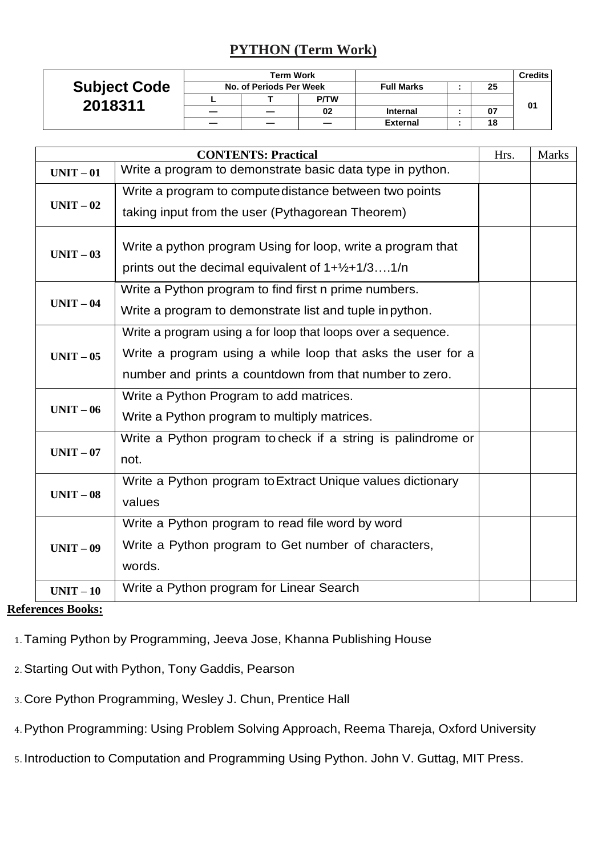## **PYTHON (Term Work)**

| <b>Subject Code</b><br>2018311 |                         | <b>Term Work</b> |             |                   |    | <b>Credits</b> |
|--------------------------------|-------------------------|------------------|-------------|-------------------|----|----------------|
|                                | No. of Periods Per Week |                  |             | <b>Full Marks</b> | 25 |                |
|                                |                         |                  | <b>P/TW</b> |                   |    | 01             |
|                                |                         |                  | 02          | <b>Internal</b>   | 07 |                |
|                                |                         |                  |             | <b>External</b>   | 18 |                |

|           | <b>CONTENTS: Practical</b>                                   | Hrs. | <b>Marks</b> |
|-----------|--------------------------------------------------------------|------|--------------|
| $UNIT-01$ | Write a program to demonstrate basic data type in python.    |      |              |
|           | Write a program to compute distance between two points       |      |              |
| $UNIT-02$ | taking input from the user (Pythagorean Theorem)             |      |              |
| $UNIT-03$ | Write a python program Using for loop, write a program that  |      |              |
|           | prints out the decimal equivalent of $1+\frac{1}{2}+1/31/n$  |      |              |
|           | Write a Python program to find first n prime numbers.        |      |              |
| $UNIT-04$ | Write a program to demonstrate list and tuple in python.     |      |              |
|           | Write a program using a for loop that loops over a sequence. |      |              |
| $UNIT-05$ | Write a program using a while loop that asks the user for a  |      |              |
|           | number and prints a countdown from that number to zero.      |      |              |
|           | Write a Python Program to add matrices.                      |      |              |
| $UNIT-06$ | Write a Python program to multiply matrices.                 |      |              |
|           | Write a Python program to check if a string is palindrome or |      |              |
| $UNIT-07$ | not.                                                         |      |              |
|           | Write a Python program to Extract Unique values dictionary   |      |              |
| $UNIT-08$ | values                                                       |      |              |
|           | Write a Python program to read file word by word             |      |              |
| $UNIT-09$ | Write a Python program to Get number of characters,          |      |              |
|           | words.                                                       |      |              |
| $UNIT-10$ | Write a Python program for Linear Search                     |      |              |

## **References Books:**

- 1. Taming Python by Programming, Jeeva Jose, Khanna Publishing House
- 2. Starting Out with Python, Tony Gaddis, Pearson
- 3. Core Python Programming, Wesley J. Chun, Prentice Hall
- 4. Python Programming: Using Problem Solving Approach, Reema Thareja, Oxford University
- 5. Introduction to Computation and Programming Using Python. John V. Guttag, MIT Press.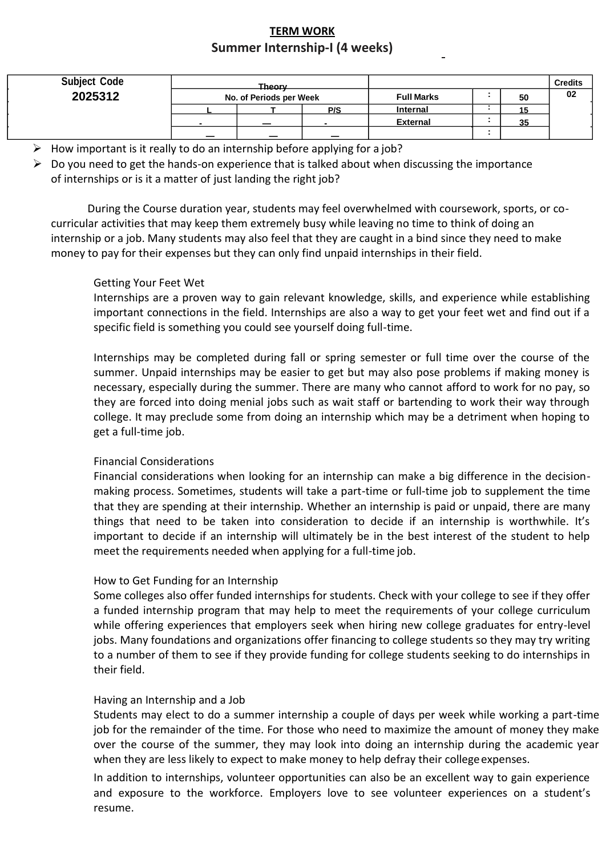## **TERM WORK Summer Internship-I (4 weeks)**

| <b>Subject Code</b><br>2025312 | Theory<br>No. of Periods per Week |                          |                          | <b>Full Marks</b><br>50 |  |    | <b>Credits</b><br>02 |
|--------------------------------|-----------------------------------|--------------------------|--------------------------|-------------------------|--|----|----------------------|
|                                |                                   |                          | P/S                      | Internal                |  | 15 |                      |
|                                |                                   | _                        |                          | <b>External</b>         |  | 35 |                      |
|                                |                                   | $\overline{\phantom{0}}$ | $\overline{\phantom{0}}$ |                         |  |    |                      |

- $\triangleright$  How important is it really to do an internship before applying for a job?
- $\triangleright$  Do you need to get the hands-on experience that is talked about when discussing the importance of internships or is it a matter of just landing the right job?

During the Course duration year, students may feel overwhelmed with coursework, sports, or cocurricular activities that may keep them extremely busy while leaving no time to think of doing an internship or a job. Many students may also feel that they are caught in a bind since they need to make money to pay for their expenses but they can only find unpaid internships in their field.

## Getting Your Feet Wet

Internships are a proven way to gain relevant knowledge, skills, and experience while establishing important connections in the field. Internships are also a way to get your feet wet and find out if a specific field is something you could see yourself doing full-time.

Internships may be completed during fall or spring semester or full time over the course of the summer. Unpaid internships may be easier to get but may also pose problems if making money is necessary, especially during the summer. There are many who cannot afford to work for no pay, so they are forced into doing menial jobs such as wait staff or bartending to work their way through college. It may preclude some from doing an internship which may be a detriment when hoping to get a full-time job.

## Financial Considerations

Financial considerations when looking for an internship can make a big difference in the decisionmaking process. Sometimes, students will take a part-time or full-time job to supplement the time that they are spending at their internship. Whether an internship is paid or unpaid, there are many things that need to be taken into consideration to decide if an internship is worthwhile. It's important to decide if an internship will ultimately be in the best interest of the student to help meet the requirements needed when applying for a full-time job.

### How to Get Funding for an Internship

Some colleges also offer funded internships for students. Check with your college to see if they offer a funded internship program that may help to meet the requirements of your college curriculum while offering experiences that employers seek when hiring new college graduates for entry-level jobs. Many foundations and organizations offer financing to college students so they may try writing to a number of them to see if they provide funding for college students seeking to do internships in their field.

### Having an Internship and a Job

Students may elect to do a summer internship a couple of days per week while working a part-time job for the remainder of the time. For those who need to maximize the amount of money they make over the course of the summer, they may look into doing an internship during the academic year when they are less likely to expect to make money to help defray their college expenses.

In addition to internships, volunteer opportunities can also be an excellent way to gain experience and exposure to the workforce. Employers love to see volunteer experiences on a student's resume.